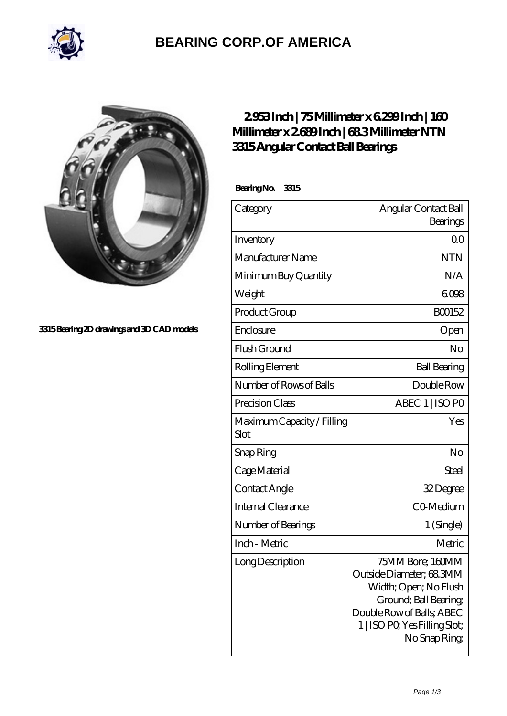

## **[BEARING CORP.OF AMERICA](https://m.bluemondayreview.com)**



**[3315 Bearing 2D drawings and 3D CAD models](https://m.bluemondayreview.com/pic-172651.html)**

## **[2.953 Inch | 75 Millimeter x 6.299 Inch | 160](https://m.bluemondayreview.com/bs-172651-ntn-3315-angular-contact-ball-bearings.html) [Millimeter x 2.689 Inch | 68.3 Millimeter NTN](https://m.bluemondayreview.com/bs-172651-ntn-3315-angular-contact-ball-bearings.html) [3315 Angular Contact Ball Bearings](https://m.bluemondayreview.com/bs-172651-ntn-3315-angular-contact-ball-bearings.html)**

 **Bearing No. 3315**

| Category                           | Angular Contact Ball                                                                                                                                                        |
|------------------------------------|-----------------------------------------------------------------------------------------------------------------------------------------------------------------------------|
|                                    | Bearings                                                                                                                                                                    |
| Inventory                          | Q0                                                                                                                                                                          |
| Manufacturer Name                  | <b>NTN</b>                                                                                                                                                                  |
| Minimum Buy Quantity               | N/A                                                                                                                                                                         |
| Weight                             | 6098                                                                                                                                                                        |
| Product Group                      | BO0152                                                                                                                                                                      |
| Enclosure                          | Open                                                                                                                                                                        |
| Flush Ground                       | No                                                                                                                                                                          |
| Rolling Element                    | <b>Ball Bearing</b>                                                                                                                                                         |
| Number of Rows of Balls            | Double Row                                                                                                                                                                  |
| Precision Class                    | ABEC 1   ISO PO                                                                                                                                                             |
| Maximum Capacity / Filling<br>Slot | Yes                                                                                                                                                                         |
| Snap Ring                          | No                                                                                                                                                                          |
| Cage Material                      | Steel                                                                                                                                                                       |
| Contact Angle                      | 32Degree                                                                                                                                                                    |
| <b>Internal Clearance</b>          | CO-Medium                                                                                                                                                                   |
| Number of Bearings                 | 1 (Single)                                                                                                                                                                  |
| Inch - Metric                      | Metric                                                                                                                                                                      |
| Long Description                   | 75MM Bore; 160MM<br>Outside Diameter; 683MM<br>Width; Open; No Flush<br>Ground; Ball Bearing;<br>Double Row of Balls, ABEC<br>1   ISO PO, Yes Filling Slot;<br>No Snap Ring |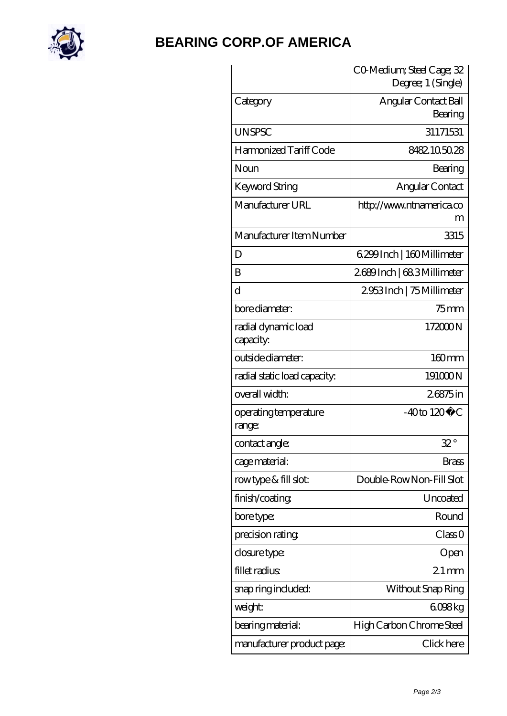

## **[BEARING CORP.OF AMERICA](https://m.bluemondayreview.com)**

|                                  | CO Medium; Steel Cage; 32<br>Degree; 1 (Single) |
|----------------------------------|-------------------------------------------------|
| Category                         | Angular Contact Ball<br>Bearing                 |
| <b>UNSPSC</b>                    | 31171531                                        |
| Harmonized Tariff Code           | 8482105028                                      |
| Noun                             | Bearing                                         |
| Keyword String                   | Angular Contact                                 |
| Manufacturer URL                 | http://www.ntnamerica.co<br>m                   |
| Manufacturer Item Number         | 3315                                            |
| D                                | 6.299 Inch   160 Millimeter                     |
| B                                | 2689Inch   683Millimeter                        |
| d                                | 2953Inch   75 Millimeter                        |
| bore diameter:                   | $75$ mm                                         |
| radial dynamic load<br>capacity: | 172000N                                         |
| outside diameter:                | 160mm                                           |
| radial static load capacity:     | 191000N                                         |
| overall width:                   | 26875in                                         |
| operating temperature<br>range:  | $-40$ to $120^{\circ}$ C                        |
| contact angle:                   | $32^{\circ}$                                    |
| cage material:                   | Brass                                           |
| rowtype & fill slot:             | Double-RowNon-Fill Slot                         |
| finish/coating                   | Uncoated                                        |
| bore type:                       | Round                                           |
| precision rating                 | Class 0                                         |
| closure type:                    | Open                                            |
| fillet radius                    | $21 \,\mathrm{mm}$                              |
| snap ring included:              | Without Snap Ring                               |
| weight:                          | 6098kg                                          |
| bearing material:                | High Carbon Chrome Steel                        |
| manufacturer product page:       | Click here                                      |